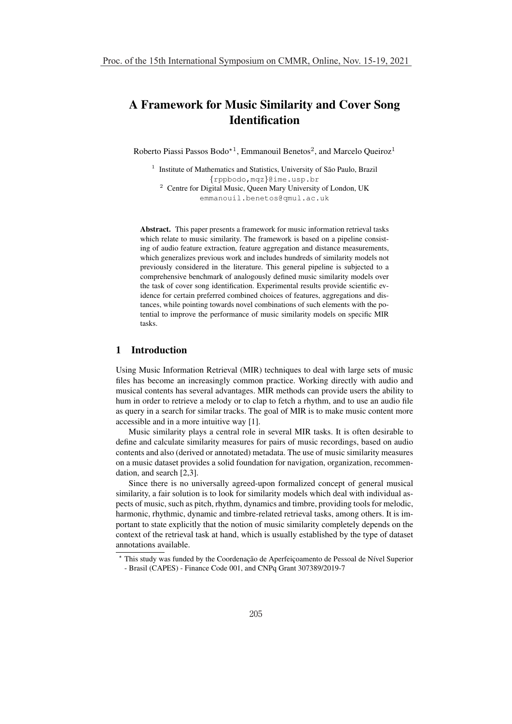# A Framework for Music Similarity and Cover Song **Identification**

Roberto Piassi Passos Bodo<sup>\*1</sup>, Emmanouil Benetos<sup>2</sup>, and Marcelo Queiroz<sup>1</sup>

 $1$  Institute of Mathematics and Statistics, University of São Paulo, Brazil {rppbodo,mqz}@ime.usp.br <sup>2</sup> Centre for Digital Music, Queen Mary University of London, UK emmanouil.benetos@qmul.ac.uk

Abstract. This paper presents a framework for music information retrieval tasks which relate to music similarity. The framework is based on a pipeline consisting of audio feature extraction, feature aggregation and distance measurements, which generalizes previous work and includes hundreds of similarity models not previously considered in the literature. This general pipeline is subjected to a comprehensive benchmark of analogously defined music similarity models over the task of cover song identification. Experimental results provide scientific evidence for certain preferred combined choices of features, aggregations and distances, while pointing towards novel combinations of such elements with the potential to improve the performance of music similarity models on specific MIR tasks.

#### 1 Introduction

Using Music Information Retrieval (MIR) techniques to deal with large sets of music files has become an increasingly common practice. Working directly with audio and musical contents has several advantages. MIR methods can provide users the ability to hum in order to retrieve a melody or to clap to fetch a rhythm, and to use an audio file as query in a search for similar tracks. The goal of MIR is to make music content more accessible and in a more intuitive way [1].

Music similarity plays a central role in several MIR tasks. It is often desirable to define and calculate similarity measures for pairs of music recordings, based on audio contents and also (derived or annotated) metadata. The use of music similarity measures on a music dataset provides a solid foundation for navigation, organization, recommendation, and search [2,3].

Since there is no universally agreed-upon formalized concept of general musical similarity, a fair solution is to look for similarity models which deal with individual aspects of music, such as pitch, rhythm, dynamics and timbre, providing tools for melodic, harmonic, rhythmic, dynamic and timbre-related retrieval tasks, among others. It is important to state explicitly that the notion of music similarity completely depends on the context of the retrieval task at hand, which is usually established by the type of dataset annotations available.

<sup>\*</sup> This study was funded by the Coordenação de Aperfeiçoamento de Pessoal de Nível Superior - Brasil (CAPES) - Finance Code 001, and CNPq Grant 307389/2019-7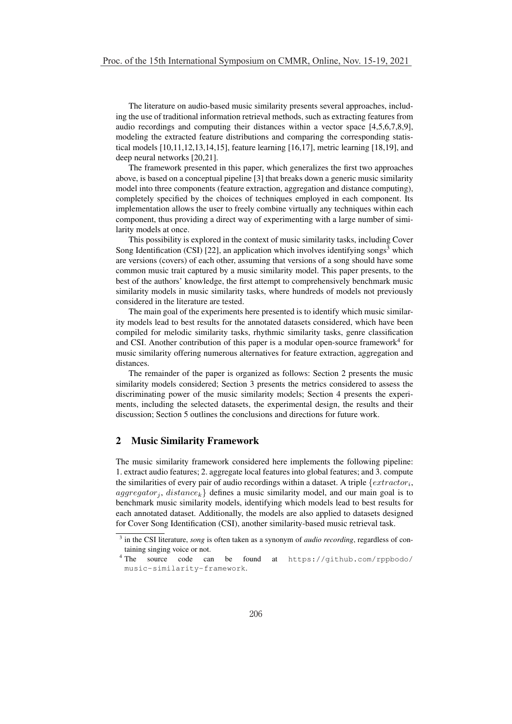The literature on audio-based music similarity presents several approaches, including the use of traditional information retrieval methods, such as extracting features from audio recordings and computing their distances within a vector space [4,5,6,7,8,9], modeling the extracted feature distributions and comparing the corresponding statistical models [10,11,12,13,14,15], feature learning [16,17], metric learning [18,19], and deep neural networks [20,21].

The framework presented in this paper, which generalizes the first two approaches above, is based on a conceptual pipeline [3] that breaks down a generic music similarity model into three components (feature extraction, aggregation and distance computing), completely specified by the choices of techniques employed in each component. Its implementation allows the user to freely combine virtually any techniques within each component, thus providing a direct way of experimenting with a large number of similarity models at once.

This possibility is explored in the context of music similarity tasks, including Cover Song Identification (CSI) [22], an application which involves identifying songs<sup>3</sup> which are versions (covers) of each other, assuming that versions of a song should have some common music trait captured by a music similarity model. This paper presents, to the best of the authors' knowledge, the first attempt to comprehensively benchmark music similarity models in music similarity tasks, where hundreds of models not previously considered in the literature are tested.

The main goal of the experiments here presented is to identify which music similarity models lead to best results for the annotated datasets considered, which have been compiled for melodic similarity tasks, rhythmic similarity tasks, genre classification and CSI. Another contribution of this paper is a modular open-source framework<sup>4</sup> for music similarity offering numerous alternatives for feature extraction, aggregation and distances.

The remainder of the paper is organized as follows: Section 2 presents the music similarity models considered; Section 3 presents the metrics considered to assess the discriminating power of the music similarity models; Section 4 presents the experiments, including the selected datasets, the experimental design, the results and their discussion; Section 5 outlines the conclusions and directions for future work.

# 2 Music Similarity Framework

The music similarity framework considered here implements the following pipeline: 1. extract audio features; 2. aggregate local features into global features; and 3. compute the similarities of every pair of audio recordings within a dataset. A triple  $\{extractor_i,$  $aggregation_i$ ,  $distance_k$  defines a music similarity model, and our main goal is to benchmark music similarity models, identifying which models lead to best results for each annotated dataset. Additionally, the models are also applied to datasets designed for Cover Song Identification (CSI), another similarity-based music retrieval task.

<sup>3</sup> in the CSI literature, *song* is often taken as a synonym of *audio recording*, regardless of con-

taining singing voice or not.<br><sup>4</sup> The source code can be found at https://github.com/rppbodo/ music-similarity-framework.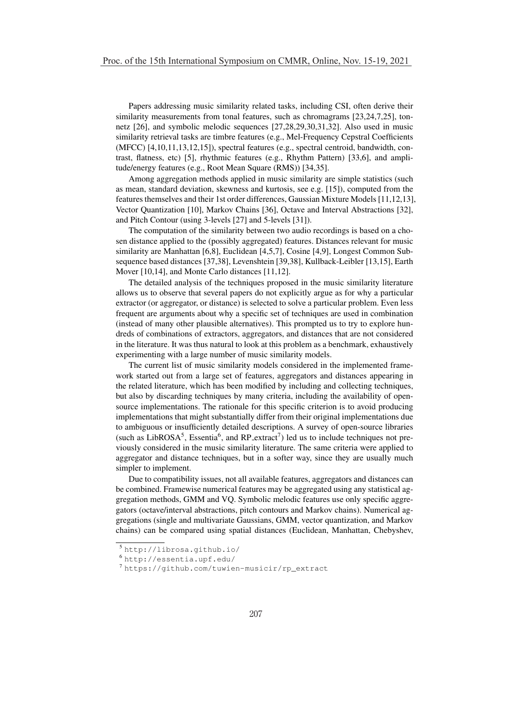Papers addressing music similarity related tasks, including CSI, often derive their similarity measurements from tonal features, such as chromagrams [23,24,7,25], tonnetz [26], and symbolic melodic sequences [27,28,29,30,31,32]. Also used in music similarity retrieval tasks are timbre features (e.g., Mel-Frequency Cepstral Coefficients (MFCC) [4,10,11,13,12,15]), spectral features (e.g., spectral centroid, bandwidth, contrast, flatness, etc) [5], rhythmic features (e.g., Rhythm Pattern) [33,6], and amplitude/energy features (e.g., Root Mean Square (RMS)) [34,35].

Among aggregation methods applied in music similarity are simple statistics (such as mean, standard deviation, skewness and kurtosis, see e.g. [15]), computed from the features themselves and their 1st order differences, Gaussian Mixture Models [11,12,13], Vector Quantization [10], Markov Chains [36], Octave and Interval Abstractions [32], and Pitch Contour (using 3-levels [27] and 5-levels [31]).

The computation of the similarity between two audio recordings is based on a chosen distance applied to the (possibly aggregated) features. Distances relevant for music similarity are Manhattan [6,8], Euclidean [4,5,7], Cosine [4,9], Longest Common Subsequence based distances [37,38], Levenshtein [39,38], Kullback-Leibler [13,15], Earth Mover [10,14], and Monte Carlo distances [11,12].

The detailed analysis of the techniques proposed in the music similarity literature allows us to observe that several papers do not explicitly argue as for why a particular extractor (or aggregator, or distance) is selected to solve a particular problem. Even less frequent are arguments about why a specific set of techniques are used in combination (instead of many other plausible alternatives). This prompted us to try to explore hundreds of combinations of extractors, aggregators, and distances that are not considered in the literature. It was thus natural to look at this problem as a benchmark, exhaustively experimenting with a large number of music similarity models.

The current list of music similarity models considered in the implemented framework started out from a large set of features, aggregators and distances appearing in the related literature, which has been modified by including and collecting techniques, but also by discarding techniques by many criteria, including the availability of opensource implementations. The rationale for this specific criterion is to avoid producing implementations that might substantially differ from their original implementations due to ambiguous or insufficiently detailed descriptions. A survey of open-source libraries (such as LibROSA<sup>5</sup>, Essentia<sup>6</sup>, and RP<sub>-extract</sub><sup>7</sup>) led us to include techniques not previously considered in the music similarity literature. The same criteria were applied to aggregator and distance techniques, but in a softer way, since they are usually much simpler to implement.

Due to compatibility issues, not all available features, aggregators and distances can be combined. Framewise numerical features may be aggregated using any statistical aggregation methods, GMM and VQ. Symbolic melodic features use only specific aggregators (octave/interval abstractions, pitch contours and Markov chains). Numerical aggregations (single and multivariate Gaussians, GMM, vector quantization, and Markov chains) can be compared using spatial distances (Euclidean, Manhattan, Chebyshev,

<sup>5</sup> http://librosa.github.io/

<sup>6</sup> http://essentia.upf.edu/

<sup>7</sup> https://github.com/tuwien-musicir/rp\_extract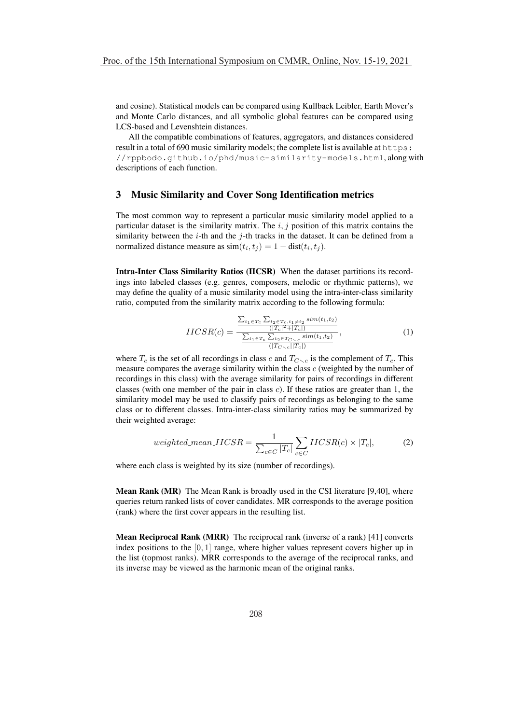and cosine). Statistical models can be compared using Kullback Leibler, Earth Mover's and Monte Carlo distances, and all symbolic global features can be compared using LCS-based and Levenshtein distances.

All the compatible combinations of features, aggregators, and distances considered result in a total of 690 music similarity models; the complete list is available at  $https$ : //rppbodo.github.io/phd/music-similarity-models.html, along with descriptions of each function.

### 3 Music Similarity and Cover Song Identification metrics

The most common way to represent a particular music similarity model applied to a particular dataset is the similarity matrix. The  $i, j$  position of this matrix contains the similarity between the *i*-th and the *j*-th tracks in the dataset. It can be defined from a normalized distance measure as  $\text{sim}(t_i, t_j) = 1 - \text{dist}(t_i, t_j)$ .

Intra-Inter Class Similarity Ratios (IICSR) When the dataset partitions its recordings into labeled classes (e.g. genres, composers, melodic or rhythmic patterns), we may define the quality of a music similarity model using the intra-inter-class similarity ratio, computed from the similarity matrix according to the following formula:

$$
IICSR(c) = \frac{\frac{\sum_{t_1 \in T_c} \sum_{t_2 \in T_c, t_1 \neq t_2} sim(t_1, t_2)}{(|T_c|^2 + |T_c|)} }{\frac{\sum_{t_1 \in T_c} \sum_{t_2 \in T_{C \setminus c}} sim(t_1, t_2)}{(|T_{C \setminus c}||T_c|)}},\tag{1}
$$

where  $T_c$  is the set of all recordings in class c and  $T_{C\setminus c}$  is the complement of  $T_c$ . This measure compares the average similarity within the class  $c$  (weighted by the number of recordings in this class) with the average similarity for pairs of recordings in different classes (with one member of the pair in class c). If these ratios are greater than 1, the similarity model may be used to classify pairs of recordings as belonging to the same class or to different classes. Intra-inter-class similarity ratios may be summarized by their weighted average:

$$
weighted\_mean\_IICSR = \frac{1}{\sum_{c \in C} |T_c|} \sum_{c \in C} IICSR(c) \times |T_c|,
$$
 (2)

where each class is weighted by its size (number of recordings).

Mean Rank (MR) The Mean Rank is broadly used in the CSI literature [9,40], where queries return ranked lists of cover candidates. MR corresponds to the average position (rank) where the first cover appears in the resulting list.

Mean Reciprocal Rank (MRR) The reciprocal rank (inverse of a rank) [41] converts index positions to the  $[0, 1]$  range, where higher values represent covers higher up in the list (topmost ranks). MRR corresponds to the average of the reciprocal ranks, and its inverse may be viewed as the harmonic mean of the original ranks.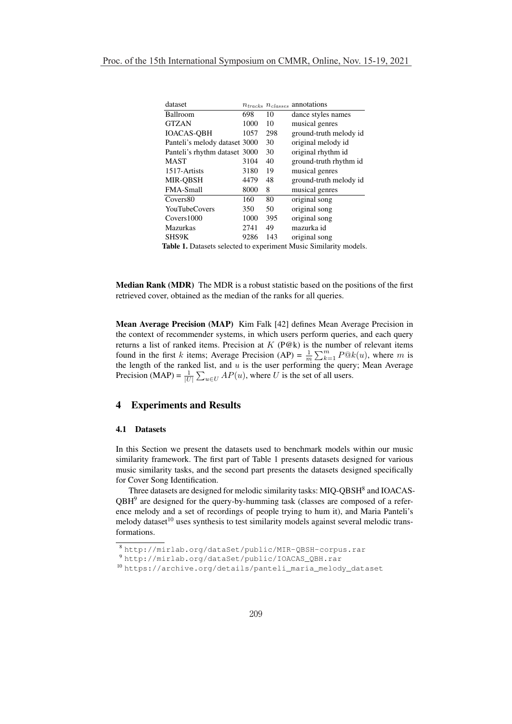| dataset                       |      |     | $n_{tracks}$ $n_{classes}$ annotations |
|-------------------------------|------|-----|----------------------------------------|
| Ballroom                      | 698  | 10  | dance styles names                     |
| <b>GTZAN</b>                  | 1000 | 10  | musical genres                         |
| <b>IOACAS-OBH</b>             | 1057 | 298 | ground-truth melody id                 |
| Panteli's melody dataset 3000 |      | 30  | original melody id                     |
| Panteli's rhythm dataset 3000 |      | 30  | original rhythm id                     |
| <b>MAST</b>                   | 3104 | 40  | ground-truth rhythm id                 |
| 1517-Artists                  | 3180 | 19  | musical genres                         |
| <b>MIR-OBSH</b>               | 4479 | 48  | ground-truth melody id                 |
| <b>FMA-Small</b>              | 8000 | 8   | musical genres                         |
| Covers80                      | 160  | 80  | original song                          |
| <b>YouTubeCovers</b>          | 350  | 50  | original song                          |
| Covers1000                    | 1000 | 395 | original song                          |
| <b>Mazurkas</b>               | 2741 | 49  | mazurka id                             |
| SHS9K                         | 9286 | 143 | original song                          |
|                               |      |     |                                        |

Table 1. Datasets selected to experiment Music Similarity models.

Median Rank (MDR) The MDR is a robust statistic based on the positions of the first retrieved cover, obtained as the median of the ranks for all queries.

Mean Average Precision (MAP) Kim Falk [42] defines Mean Average Precision in the context of recommender systems, in which users perform queries, and each query returns a list of ranked items. Precision at  $K$  (P@k) is the number of relevant items found in the first k items; Average Precision (AP) =  $\frac{1}{m} \sum_{k=1}^{m} P@k(u)$ , where m is the length of the ranked list, and  $u$  is the user performing the query; Mean Average Precision (MAP) =  $\frac{1}{|U|} \sum_{u \in U} AP(u)$ , where U is the set of all users.

# 4 Experiments and Results

#### 4.1 Datasets

In this Section we present the datasets used to benchmark models within our music similarity framework. The first part of Table 1 presents datasets designed for various music similarity tasks, and the second part presents the datasets designed specifically for Cover Song Identification.

Three datasets are designed for melodic similarity tasks: MIQ-QBSH<sup>8</sup> and IOACAS- $QBH<sup>9</sup>$  are designed for the query-by-humming task (classes are composed of a reference melody and a set of recordings of people trying to hum it), and Maria Panteli's melody dataset $10$  uses synthesis to test similarity models against several melodic transformations.

<sup>8</sup> http://mirlab.org/dataSet/public/MIR-QBSH-corpus.rar

<sup>9</sup> http://mirlab.org/dataSet/public/IOACAS\_QBH.rar

<sup>10</sup> https://archive.org/details/panteli\_maria\_melody\_dataset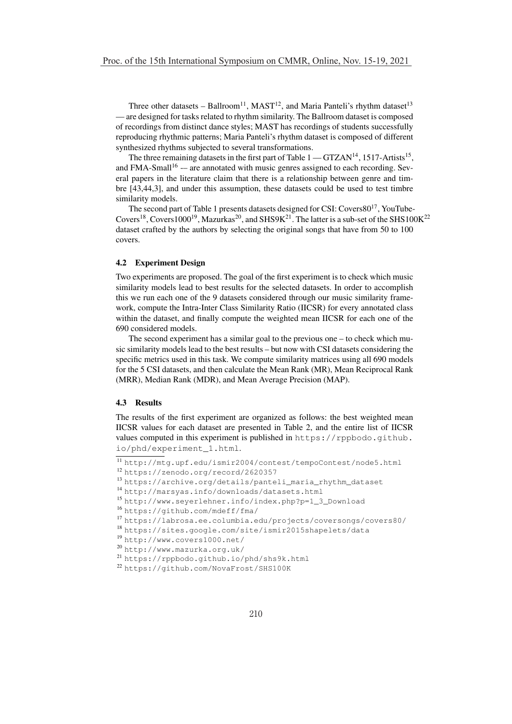Three other datasets – Ballroom<sup>11</sup>, MAST<sup>12</sup>, and Maria Panteli's rhythm dataset<sup>13</sup> — are designed for tasks related to rhythm similarity. The Ballroom dataset is composed of recordings from distinct dance styles; MAST has recordings of students successfully reproducing rhythmic patterns; Maria Panteli's rhythm dataset is composed of different synthesized rhythms subjected to several transformations.

The three remaining datasets in the first part of Table  $1 - GTZAN<sup>14</sup>$ , 1517-Artists<sup>15</sup>, and FMA-Small<sup>16</sup> -- are annotated with music genres assigned to each recording. Several papers in the literature claim that there is a relationship between genre and timbre [43,44,3], and under this assumption, these datasets could be used to test timbre similarity models.

The second part of Table 1 presents datasets designed for CSI: Covers8017, YouTube-Covers<sup>18</sup>, Covers1000<sup>19</sup>, Mazurkas<sup>20</sup>, and SHS9K<sup>21</sup>. The latter is a sub-set of the SHS100K<sup>22</sup> dataset crafted by the authors by selecting the original songs that have from 50 to 100 covers.

#### 4.2 Experiment Design

Two experiments are proposed. The goal of the first experiment is to check which music similarity models lead to best results for the selected datasets. In order to accomplish this we run each one of the 9 datasets considered through our music similarity framework, compute the Intra-Inter Class Similarity Ratio (IICSR) for every annotated class within the dataset, and finally compute the weighted mean IICSR for each one of the 690 considered models.

The second experiment has a similar goal to the previous one – to check which music similarity models lead to the best results – but now with CSI datasets considering the specific metrics used in this task. We compute similarity matrices using all 690 models for the 5 CSI datasets, and then calculate the Mean Rank (MR), Mean Reciprocal Rank (MRR), Median Rank (MDR), and Mean Average Precision (MAP).

#### 4.3 Results

The results of the first experiment are organized as follows: the best weighted mean IICSR values for each dataset are presented in Table 2, and the entire list of IICSR values computed in this experiment is published in https://rppbodo.github. io/phd/experiment\_1.html.

<sup>11</sup> http://mtg.upf.edu/ismir2004/contest/tempoContest/node5.html

<sup>12</sup> https://zenodo.org/record/2620357

<sup>13</sup> https://archive.org/details/panteli\_maria\_rhythm\_dataset

<sup>14</sup> http://marsyas.info/downloads/datasets.html

<sup>15</sup> http://www.seyerlehner.info/index.php?p=1\_3\_Download

<sup>16</sup> https://github.com/mdeff/fma/

<sup>17</sup> https://labrosa.ee.columbia.edu/projects/coversongs/covers80/

<sup>18</sup> https://sites.google.com/site/ismir2015shapelets/data

<sup>19</sup> http://www.covers1000.net/

<sup>20</sup> http://www.mazurka.org.uk/

<sup>21</sup> https://rppbodo.github.io/phd/shs9k.html

<sup>22</sup> https://github.com/NovaFrost/SHS100K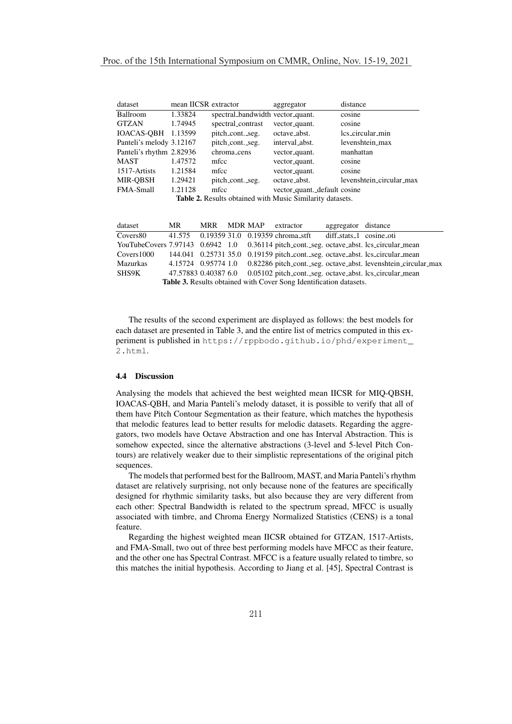| dataset                                                          | mean IICSR extractor |                                  | aggregator                   | distance                 |  |  |
|------------------------------------------------------------------|----------------------|----------------------------------|------------------------------|--------------------------|--|--|
| Ballroom                                                         | 1.33824              | spectral_bandwidth vector_quant. |                              | cosine                   |  |  |
| <b>GTZAN</b>                                                     | 1.74945              | spectral_contrast                | vector_quant.                | cosine                   |  |  |
| <b>IOACAS-OBH</b>                                                | 1.13599              | pitch_cont._seg.                 | octave_abst.                 | lcs_circular_min         |  |  |
| Panteli's melody 3.12167                                         |                      | pitch_cont._seg.                 | interval_abst.               | levenshtein_max          |  |  |
| Panteli's rhythm 2.82936                                         |                      | chroma_cens                      | vector_quant.                | manhattan                |  |  |
| MAST                                                             | 1.47572              | mfcc                             | vector_quant.                | cosine                   |  |  |
| 1517-Artists                                                     | 1.21584              | mfcc                             | vector_quant.                | cosine                   |  |  |
| MIR-OBSH                                                         | 1.29421              | pitch_cont._seg.                 | octave_abst.                 | levenshtein_circular_max |  |  |
| <b>FMA-Small</b>                                                 | 1.21128              | mfcc                             | vector_quant._default cosine |                          |  |  |
| <b>Table 2.</b> Results obtained with Music Similarity datasets. |                      |                                  |                              |                          |  |  |

dataset MR MRR MDR MAP extractor aggregator distance Covers80 41.575 0.19359 31.0 0.19359 chroma stft diff stats 1 cosine oti YouTubeCovers 7.97143 0.6942 1.0 0.36114 pitch\_cont.\_seg. octave\_abst. lcs\_circular\_mean Covers1000 144.041 0.25731 35.0 0.19159 pitch cont. seg. octave abst. lcs circular mean Mazurkas 4.15724 0.95774 1.0 0.82286 pitch cont. seg. octave abst. levenshtein circular max SHS9K 47.57883 0.40387 6.0 0.05102 pitch cont. seg. octave abst. lcs circular mean Table 3. Results obtained with Cover Song Identification datasets.

The results of the second experiment are displayed as follows: the best models for each dataset are presented in Table 3, and the entire list of metrics computed in this experiment is published in https://rppbodo.github.io/phd/experiment\_ 2.html.

#### 4.4 Discussion

Analysing the models that achieved the best weighted mean IICSR for MIQ-QBSH, IOACAS-QBH, and Maria Panteli's melody dataset, it is possible to verify that all of them have Pitch Contour Segmentation as their feature, which matches the hypothesis that melodic features lead to better results for melodic datasets. Regarding the aggregators, two models have Octave Abstraction and one has Interval Abstraction. This is somehow expected, since the alternative abstractions (3-level and 5-level Pitch Contours) are relatively weaker due to their simplistic representations of the original pitch sequences.

The models that performed best for the Ballroom, MAST, and Maria Panteli's rhythm dataset are relatively surprising, not only because none of the features are specifically designed for rhythmic similarity tasks, but also because they are very different from each other: Spectral Bandwidth is related to the spectrum spread, MFCC is usually associated with timbre, and Chroma Energy Normalized Statistics (CENS) is a tonal feature.

Regarding the highest weighted mean IICSR obtained for GTZAN, 1517-Artists, and FMA-Small, two out of three best performing models have MFCC as their feature, and the other one has Spectral Contrast. MFCC is a feature usually related to timbre, so this matches the initial hypothesis. According to Jiang et al. [45], Spectral Contrast is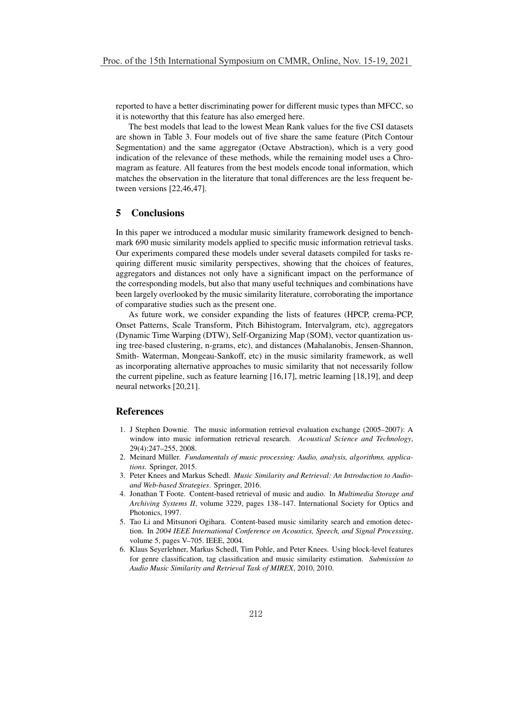reported to have a better discriminating power for different music types than MFCC, so it is noteworthy that this feature has also emerged here.

The best models that lead to the lowest Mean Rank values for the five CSI datasets are shown in Table 3. Four models out of five share the same feature (Pitch Contour Segmentation) and the same aggregator (Octave Abstraction), which is a very good indication of the relevance of these methods, while the remaining model uses a Chromagram as feature. All features from the best models encode tonal information, which matches the observation in the literature that tonal differences are the less frequent between versions [22,46,47].

# 5 Conclusions

In this paper we introduced a modular music similarity framework designed to benchmark 690 music similarity models applied to specific music information retrieval tasks. Our experiments compared these models under several datasets compiled for tasks requiring different music similarity perspectives, showing that the choices of features, aggregators and distances not only have a significant impact on the performance of the corresponding models, but also that many useful techniques and combinations have been largely overlooked by the music similarity literature, corroborating the importance of comparative studies such as the present one.

As future work, we consider expanding the lists of features (HPCP, crema-PCP, Onset Patterns, Scale Transform, Pitch Bihistogram, Intervalgram, etc), aggregators (Dynamic Time Warping (DTW), Self-Organizing Map (SOM), vector quantization using tree-based clustering, n-grams, etc), and distances (Mahalanobis, Jensen-Shannon, Smith- Waterman, Mongeau-Sankoff, etc) in the music similarity framework, as well as incorporating alternative approaches to music similarity that not necessarily follow the current pipeline, such as feature learning [16,17], metric learning [18,19], and deep neural networks [20,21].

# References

- 1. J Stephen Downie. The music information retrieval evaluation exchange (2005–2007): A window into music information retrieval research. *Acoustical Science and Technology*, 29(4):247–255, 2008.
- 2. Meinard Müller. Fundamentals of music processing: Audio, analysis, algorithms, applica*tions*. Springer, 2015.
- 3. Peter Knees and Markus Schedl. *Music Similarity and Retrieval: An Introduction to Audioand Web-based Strategies*. Springer, 2016.
- 4. Jonathan T Foote. Content-based retrieval of music and audio. In *Multimedia Storage and Archiving Systems II*, volume 3229, pages 138–147. International Society for Optics and Photonics, 1997.
- 5. Tao Li and Mitsunori Ogihara. Content-based music similarity search and emotion detection. In *2004 IEEE International Conference on Acoustics, Speech, and Signal Processing*, volume 5, pages V–705. IEEE, 2004.
- 6. Klaus Seyerlehner, Markus Schedl, Tim Pohle, and Peter Knees. Using block-level features for genre classification, tag classification and music similarity estimation. *Submission to Audio Music Similarity and Retrieval Task of MIREX*, 2010, 2010.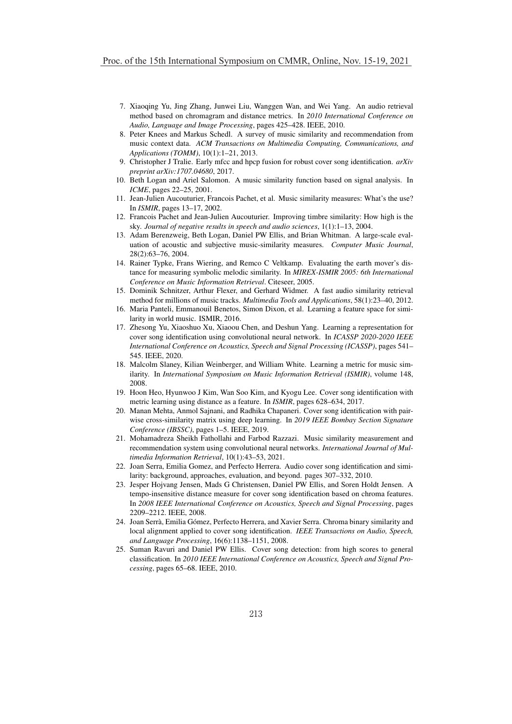- 7. Xiaoqing Yu, Jing Zhang, Junwei Liu, Wanggen Wan, and Wei Yang. An audio retrieval method based on chromagram and distance metrics. In *2010 International Conference on Audio, Language and Image Processing*, pages 425–428. IEEE, 2010.
- 8. Peter Knees and Markus Schedl. A survey of music similarity and recommendation from music context data. *ACM Transactions on Multimedia Computing, Communications, and Applications (TOMM)*, 10(1):1–21, 2013.
- 9. Christopher J Tralie. Early mfcc and hpcp fusion for robust cover song identification. *arXiv preprint arXiv:1707.04680*, 2017.
- 10. Beth Logan and Ariel Salomon. A music similarity function based on signal analysis. In *ICME*, pages 22–25, 2001.
- 11. Jean-Julien Aucouturier, Francois Pachet, et al. Music similarity measures: What's the use? In *ISMIR*, pages 13–17, 2002.
- 12. Francois Pachet and Jean-Julien Aucouturier. Improving timbre similarity: How high is the sky. *Journal of negative results in speech and audio sciences*, 1(1):1–13, 2004.
- 13. Adam Berenzweig, Beth Logan, Daniel PW Ellis, and Brian Whitman. A large-scale evaluation of acoustic and subjective music-similarity measures. *Computer Music Journal*, 28(2):63–76, 2004.
- 14. Rainer Typke, Frans Wiering, and Remco C Veltkamp. Evaluating the earth mover's distance for measuring symbolic melodic similarity. In *MIREX-ISMIR 2005: 6th International Conference on Music Information Retrieval*. Citeseer, 2005.
- 15. Dominik Schnitzer, Arthur Flexer, and Gerhard Widmer. A fast audio similarity retrieval method for millions of music tracks. *Multimedia Tools and Applications*, 58(1):23–40, 2012.
- 16. Maria Panteli, Emmanouil Benetos, Simon Dixon, et al. Learning a feature space for similarity in world music. ISMIR, 2016.
- 17. Zhesong Yu, Xiaoshuo Xu, Xiaoou Chen, and Deshun Yang. Learning a representation for cover song identification using convolutional neural network. In *ICASSP 2020-2020 IEEE International Conference on Acoustics, Speech and Signal Processing (ICASSP)*, pages 541– 545. IEEE, 2020.
- 18. Malcolm Slaney, Kilian Weinberger, and William White. Learning a metric for music similarity. In *International Symposium on Music Information Retrieval (ISMIR)*, volume 148, 2008.
- 19. Hoon Heo, Hyunwoo J Kim, Wan Soo Kim, and Kyogu Lee. Cover song identification with metric learning using distance as a feature. In *ISMIR*, pages 628–634, 2017.
- 20. Manan Mehta, Anmol Sajnani, and Radhika Chapaneri. Cover song identification with pairwise cross-similarity matrix using deep learning. In *2019 IEEE Bombay Section Signature Conference (IBSSC)*, pages 1–5. IEEE, 2019.
- 21. Mohamadreza Sheikh Fathollahi and Farbod Razzazi. Music similarity measurement and recommendation system using convolutional neural networks. *International Journal of Multimedia Information Retrieval*, 10(1):43–53, 2021.
- 22. Joan Serra, Emilia Gomez, and Perfecto Herrera. Audio cover song identification and similarity: background, approaches, evaluation, and beyond. pages 307–332, 2010.
- 23. Jesper Hojvang Jensen, Mads G Christensen, Daniel PW Ellis, and Soren Holdt Jensen. A tempo-insensitive distance measure for cover song identification based on chroma features. In *2008 IEEE International Conference on Acoustics, Speech and Signal Processing*, pages 2209–2212. IEEE, 2008.
- 24. Joan Serrà, Emilia Gómez, Perfecto Herrera, and Xavier Serra. Chroma binary similarity and local alignment applied to cover song identification. *IEEE Transactions on Audio, Speech, and Language Processing*, 16(6):1138–1151, 2008.
- 25. Suman Ravuri and Daniel PW Ellis. Cover song detection: from high scores to general classification. In *2010 IEEE International Conference on Acoustics, Speech and Signal Processing*, pages 65–68. IEEE, 2010.